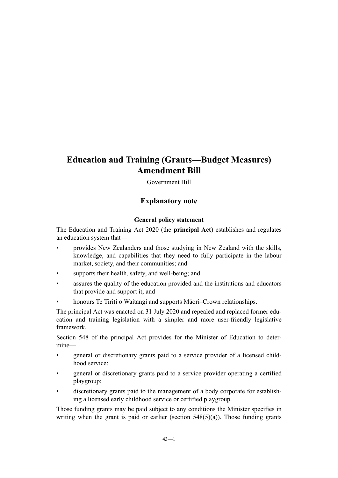# **Education and Training (Grants—Budget Measures) Amendment Bill**

Government Bill

## **Explanatory note**

#### **General policy statement**

The Education and Training Act 2020 (the **principal Act**) establishes and regulates an education system that—

- provides New Zealanders and those studying in New Zealand with the skills, knowledge, and capabilities that they need to fully participate in the labour market, society, and their communities; and
- supports their health, safety, and well-being; and
- assures the quality of the education provided and the institutions and educators that provide and support it; and
- honours Te Tiriti o Waitangi and supports Māori–Crown relationships.

The principal Act was enacted on 31 July 2020 and repealed and replaced former education and training legislation with a simpler and more user-friendly legislative framework.

Section 548 of the principal Act provides for the Minister of Education to deter‐ mine—

- general or discretionary grants paid to a service provider of a licensed childhood service:
- general or discretionary grants paid to a service provider operating a certified playgroup:
- discretionary grants paid to the management of a body corporate for establishing a licensed early childhood service or certified playgroup.

Those funding grants may be paid subject to any conditions the Minister specifies in writing when the grant is paid or earlier (section  $548(5)(a)$ ). Those funding grants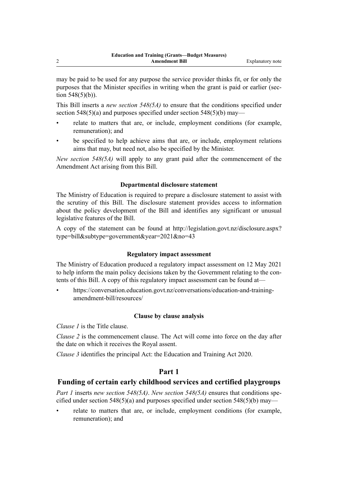may be paid to be used for any purpose the service provider thinks fit, or for only the purposes that the Minister specifies in writing when the grant is paid or earlier (section 548(5)(b)).

This Bill inserts a *new section 548(5A)* to ensure that the conditions specified under section  $548(5)(a)$  and purposes specified under section  $548(5)(b)$  may—

- relate to matters that are, or include, employment conditions (for example, remuneration); and
- be specified to help achieve aims that are, or include, employment relations aims that may, but need not, also be specified by the Minister.

*New section 548(5A)* will apply to any grant paid after the commencement of the Amendment Act arising from this Bill.

#### **Departmental disclosure statement**

The Ministry of Education is required to prepare a disclosure statement to assist with the scrutiny of this Bill. The disclosure statement provides access to information about the policy development of the Bill and identifies any significant or unusual legislative features of the Bill.

A copy of the statement can be found at [http://legislation.govt.nz/disclosure.aspx?](http://legislation.govt.nz/disclosure.aspx?type=bill&subtype=government&year=2021&no=43) [type=bill&subtype=government&year=2021&no=43](http://legislation.govt.nz/disclosure.aspx?type=bill&subtype=government&year=2021&no=43)

#### **Regulatory impact assessment**

The Ministry of Education produced a regulatory impact assessment on 12 May 2021 to help inform the main policy decisions taken by the Government relating to the contents of this Bill. A copy of this regulatory impact assessment can be found at—

• [https://conversation.education.govt.nz/conversations/education-and-training](https://conversation.education.govt.nz/conversations/education-and-training-amendment-bill/resources/)[amendment-bill/resources/](https://conversation.education.govt.nz/conversations/education-and-training-amendment-bill/resources/)

#### **Clause by clause analysis**

*Clause 1* is the Title clause.

*Clause 2* is the commencement clause. The Act will come into force on the day after the date on which it receives the Royal assent.

*Clause 3* identifies the principal Act: the Education and Training Act 2020.

## **Part 1**

## **Funding of certain early childhood services and certified playgroups**

*Part 1* inserts *new section 548(5A)*. *New section 548(5A)* ensures that conditions spe‐ cified under section  $548(5)(a)$  and purposes specified under section  $548(5)(b)$  may—

relate to matters that are, or include, employment conditions (for example, remuneration); and

2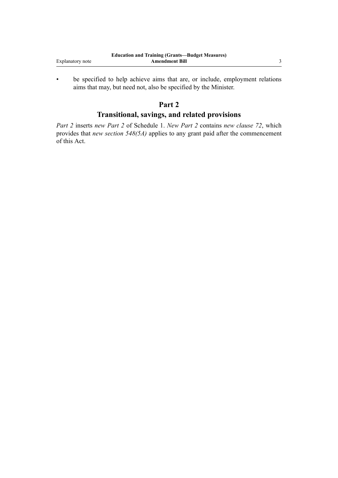|                  | <b>Education and Training (Grants—Budget Measures)</b> |  |
|------------------|--------------------------------------------------------|--|
| Explanatory note | Amendment Bill                                         |  |

• be specified to help achieve aims that are, or include, employment relations aims that may, but need not, also be specified by the Minister.

# **Part 2**

## **Transitional, savings, and related provisions**

*Part 2* inserts *new Part 2* of Schedule 1. *New Part 2* contains *new clause 72*, which provides that *new section 548(5A)* applies to any grant paid after the commencement of this Act.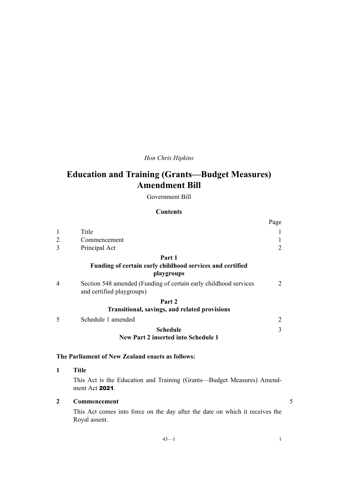# *Hon Chris Hipkins*

# **Education and Training (Grants—Budget Measures) Amendment Bill**

Government Bill

#### **Contents**

|                |                                                                                               | Page |
|----------------|-----------------------------------------------------------------------------------------------|------|
| $\mathbf{1}$   | Title                                                                                         |      |
| 2              | Commencement                                                                                  |      |
| 3              | Principal Act                                                                                 | 2    |
|                | Part 1                                                                                        |      |
|                | Funding of certain early childhood services and certified<br>playgroups                       |      |
| $\overline{4}$ | Section 548 amended (Funding of certain early childhood services<br>and certified playgroups) | 2    |
|                | Part 2                                                                                        |      |
|                | <b>Transitional, savings, and related provisions</b>                                          |      |
|                | Schedule 1 amended                                                                            | 2    |
|                | <b>Schedule</b>                                                                               | 3    |
|                | <b>New Part 2 inserted into Schedule 1</b>                                                    |      |

## **The Parliament of New Zealand enacts as follows:**

### **1 Title**

This Act is the Education and Training (Grants—Budget Measures) Amend‐ ment Act 2021.

## **2 Commencement** 5

This Act comes into force on the day after the date on which it receives the Royal assent.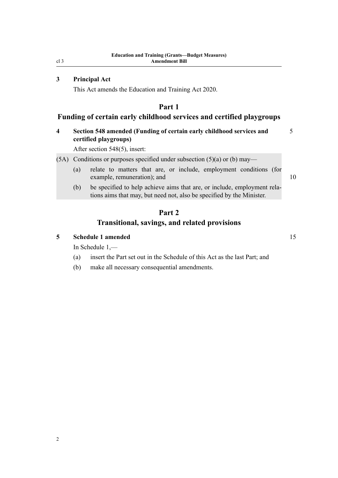## **3 Principal Act**

This Act amends the Education and Training Act 2020.

## **Part 1**

## **Funding of certain early childhood services and certified playgroups**

## **4 Section 548 amended (Funding of certain early childhood services and** 5 **certified playgroups)**

After section 548(5), insert:

- (5A) Conditions or purposes specified under subsection  $(5)(a)$  or (b) may—
	- (a) relate to matters that are, or include, employment conditions (for example, remuneration); and 10

(b) be specified to help achieve aims that are, or include, employment relations aims that may, but need not, also be specified by the Minister.

# **Part 2 Transitional, savings, and related provisions**

#### **5 Schedule 1 amended** 15

In Schedule 1,—

- (a) insert the Part set out in the Schedule of this Act as the last Part; and
- (b) make all necessary consequential amendments.

<span id="page-5-0"></span>cl 3